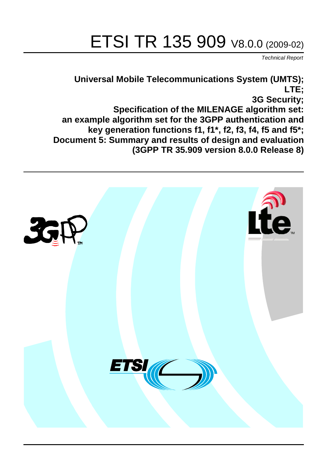# ETSI TR 135 909 V8.0.0 (2009-02)

*Technical Report*

### **Universal Mobile Telecommunications System (UMTS); LTE; 3G Security; Specification of the MILENAGE algorithm set: an example algorithm set for the 3GPP authentication and key generation functions f1, f1\*, f2, f3, f4, f5 and f5\*; Document 5: Summary and results of design and evaluation (3GPP TR 35.909 version 8.0.0 Release 8)**

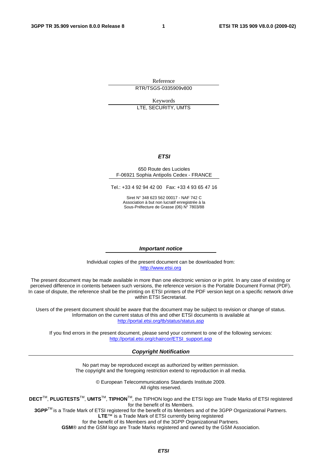Reference RTR/TSGS-0335909v800

Keywords LTE, SECURITY, UMTS

#### *ETSI*

#### 650 Route des Lucioles F-06921 Sophia Antipolis Cedex - FRANCE

Tel.: +33 4 92 94 42 00 Fax: +33 4 93 65 47 16

Siret N° 348 623 562 00017 - NAF 742 C Association à but non lucratif enregistrée à la Sous-Préfecture de Grasse (06) N° 7803/88

#### *Important notice*

Individual copies of the present document can be downloaded from: [http://www.etsi.org](http://www.etsi.org/)

The present document may be made available in more than one electronic version or in print. In any case of existing or perceived difference in contents between such versions, the reference version is the Portable Document Format (PDF). In case of dispute, the reference shall be the printing on ETSI printers of the PDF version kept on a specific network drive within ETSI Secretariat.

Users of the present document should be aware that the document may be subject to revision or change of status. Information on the current status of this and other ETSI documents is available at <http://portal.etsi.org/tb/status/status.asp>

If you find errors in the present document, please send your comment to one of the following services: [http://portal.etsi.org/chaircor/ETSI\\_support.asp](http://portal.etsi.org/chaircor/ETSI_support.asp)

#### *Copyright Notification*

No part may be reproduced except as authorized by written permission. The copyright and the foregoing restriction extend to reproduction in all media.

> © European Telecommunications Standards Institute 2009. All rights reserved.

**DECT**TM, **PLUGTESTS**TM, **UMTS**TM, **TIPHON**TM, the TIPHON logo and the ETSI logo are Trade Marks of ETSI registered for the benefit of its Members.

**3GPP**TM is a Trade Mark of ETSI registered for the benefit of its Members and of the 3GPP Organizational Partners. **LTE**™ is a Trade Mark of ETSI currently being registered

for the benefit of its Members and of the 3GPP Organizational Partners.

**GSM**® and the GSM logo are Trade Marks registered and owned by the GSM Association.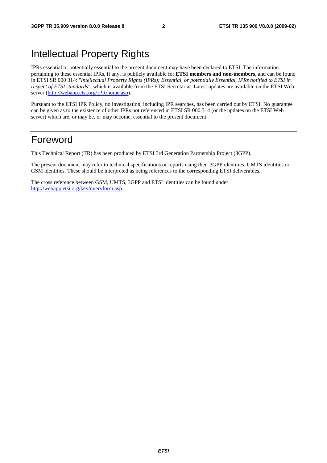## Intellectual Property Rights

IPRs essential or potentially essential to the present document may have been declared to ETSI. The information pertaining to these essential IPRs, if any, is publicly available for **ETSI members and non-members**, and can be found in ETSI SR 000 314: *"Intellectual Property Rights (IPRs); Essential, or potentially Essential, IPRs notified to ETSI in respect of ETSI standards"*, which is available from the ETSI Secretariat. Latest updates are available on the ETSI Web server [\(http://webapp.etsi.org/IPR/home.asp](http://webapp.etsi.org/IPR/home.asp)).

Pursuant to the ETSI IPR Policy, no investigation, including IPR searches, has been carried out by ETSI. No guarantee can be given as to the existence of other IPRs not referenced in ETSI SR 000 314 (or the updates on the ETSI Web server) which are, or may be, or may become, essential to the present document.

## Foreword

This Technical Report (TR) has been produced by ETSI 3rd Generation Partnership Project (3GPP).

The present document may refer to technical specifications or reports using their 3GPP identities, UMTS identities or GSM identities. These should be interpreted as being references to the corresponding ETSI deliverables.

The cross reference between GSM, UMTS, 3GPP and ETSI identities can be found under <http://webapp.etsi.org/key/queryform.asp>.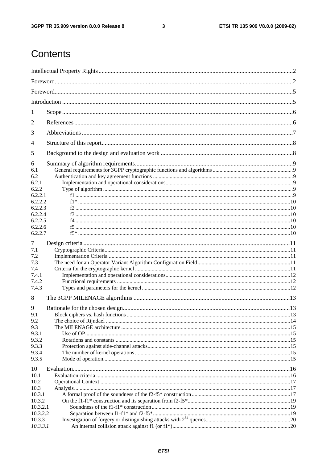#### $\mathbf{3}$

## Contents

| 1                  |  |  |  |  |  |
|--------------------|--|--|--|--|--|
|                    |  |  |  |  |  |
| 2                  |  |  |  |  |  |
| 3                  |  |  |  |  |  |
| 4                  |  |  |  |  |  |
| 5                  |  |  |  |  |  |
| 6                  |  |  |  |  |  |
| 6.1                |  |  |  |  |  |
| 6.2                |  |  |  |  |  |
| 6.2.1              |  |  |  |  |  |
| 6.2.2              |  |  |  |  |  |
| 6.2.2.1            |  |  |  |  |  |
| 6.2.2.2<br>6.2.2.3 |  |  |  |  |  |
| 6.2.2.4            |  |  |  |  |  |
| 6.2.2.5            |  |  |  |  |  |
| 6.2.2.6            |  |  |  |  |  |
| 6.2.2.7            |  |  |  |  |  |
|                    |  |  |  |  |  |
| 7                  |  |  |  |  |  |
| 7.1                |  |  |  |  |  |
| 7.2                |  |  |  |  |  |
| 7.3<br>7.4         |  |  |  |  |  |
| 7.4.1              |  |  |  |  |  |
| 7.4.2              |  |  |  |  |  |
| 7.4.3              |  |  |  |  |  |
|                    |  |  |  |  |  |
| 8                  |  |  |  |  |  |
| 9                  |  |  |  |  |  |
| 9.1                |  |  |  |  |  |
| 9.2                |  |  |  |  |  |
| 9.3                |  |  |  |  |  |
| 9.3.1              |  |  |  |  |  |
| 9.3.2              |  |  |  |  |  |
| 9.3.3              |  |  |  |  |  |
| 9.3.4              |  |  |  |  |  |
| 9.3.5              |  |  |  |  |  |
| 10                 |  |  |  |  |  |
| 10.1               |  |  |  |  |  |
| 10.2               |  |  |  |  |  |
| 10.3               |  |  |  |  |  |
| 10.3.1             |  |  |  |  |  |
| 10.3.2             |  |  |  |  |  |
| 10.3.2.1           |  |  |  |  |  |
| 10.3.2.2           |  |  |  |  |  |
| 10.3.3             |  |  |  |  |  |
| 10.3.3.1           |  |  |  |  |  |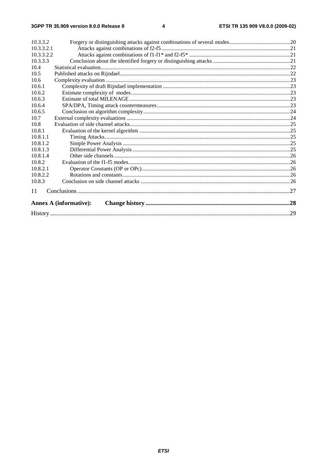| 10.3.3.2   |                               |  |  |  |
|------------|-------------------------------|--|--|--|
| 10.3.3.2.1 |                               |  |  |  |
| 10.3.3.2.2 |                               |  |  |  |
| 10.3.3.3   |                               |  |  |  |
| 10.4       |                               |  |  |  |
| 10.5       |                               |  |  |  |
| 10.6       |                               |  |  |  |
| 10.6.1     |                               |  |  |  |
| 10.6.2     |                               |  |  |  |
| 10.6.3     |                               |  |  |  |
| 10.6.4     |                               |  |  |  |
| 10.6.5     |                               |  |  |  |
| 10.7       |                               |  |  |  |
| 10.8       |                               |  |  |  |
| 10.8.1     |                               |  |  |  |
| 10.8.1.1   |                               |  |  |  |
| 10.8.1.2   |                               |  |  |  |
| 10.8.1.3   |                               |  |  |  |
| 10.8.1.4   |                               |  |  |  |
| 10.8.2     |                               |  |  |  |
| 10.8.2.1   |                               |  |  |  |
| 10.8.2.2   |                               |  |  |  |
| 10.8.3     |                               |  |  |  |
| 11         |                               |  |  |  |
|            | <b>Annex A (informative):</b> |  |  |  |
|            |                               |  |  |  |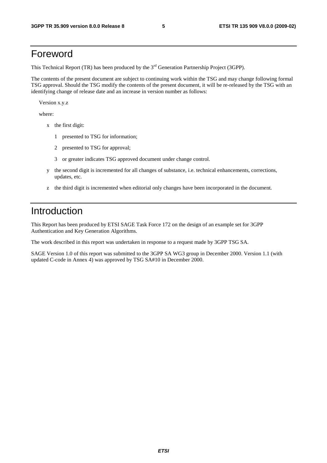### Foreword

This Technical Report (TR) has been produced by the 3<sup>rd</sup> Generation Partnership Project (3GPP).

The contents of the present document are subject to continuing work within the TSG and may change following formal TSG approval. Should the TSG modify the contents of the present document, it will be re-released by the TSG with an identifying change of release date and an increase in version number as follows:

Version x.y.z

where:

- x the first digit:
	- 1 presented to TSG for information;
	- 2 presented to TSG for approval;
	- 3 or greater indicates TSG approved document under change control.
- y the second digit is incremented for all changes of substance, i.e. technical enhancements, corrections, updates, etc.
- z the third digit is incremented when editorial only changes have been incorporated in the document.

## Introduction

This Report has been produced by ETSI SAGE Task Force 172 on the design of an example set for 3GPP Authentication and Key Generation Algorithms.

The work described in this report was undertaken in response to a request made by 3GPP TSG SA.

SAGE Version 1.0 of this report was submitted to the 3GPP SA WG3 group in December 2000. Version 1.1 (with updated C-code in Annex 4) was approved by TSG SA#10 in December 2000.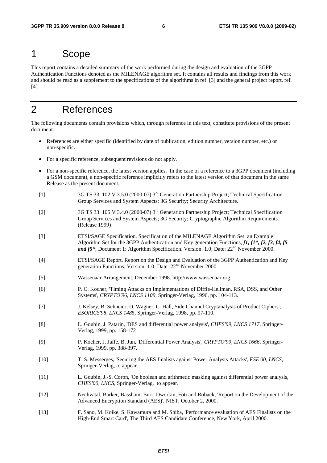### 1 Scope

This report contains a detailed summary of the work performed during the design and evaluation of the 3GPP Authentication Functions denoted as the MILENAGE algorithm set. It contains all results and findings from this work and should be read as a supplement to the specifications of the algorithms in ref. [3] and the general project report, ref. [4].

## 2 References

The following documents contain provisions which, through reference in this text, constitute provisions of the present document.

- References are either specific (identified by date of publication, edition number, version number, etc.) or non-specific.
- For a specific reference, subsequent revisions do not apply.
- For a non-specific reference, the latest version applies. In the case of a reference to a 3GPP document (including a GSM document), a non-specific reference implicitly refers to the latest version of that document in the same Release as the present document.
- [1] 3G TS 33. 102 V 3.5.0 (2000-07) 3rd Generation Partnership Project; Technical Specification Group Services and System Aspects; 3G Security; Security Architecture.
- [2] 3G TS 33. 105 V 3.4.0 (2000-07) 3rd Generation Partnership Project; Technical Specification Group Services and System Aspects; 3G Security; Cryptographic Algorithm Requirements. (Release 1999)
- [3] ETSI/SAGE Specification. Specification of the MILENAGE Algorithm Set: an Example Algorithm Set for the 3GPP Authentication and Key generation Functions, *f1, f1\*, f2, f3, f4, f5 and f5*\*; Document 1: Algorithm Specification. Version: 1.0; Date: 22<sup>nd</sup> November 2000.
- [4] ETSI/SAGE Report. Report on the Design and Evaluation of the 3GPP Authentication and Key generation Functions; Version: 1.0; Date: 22<sup>nd</sup> November 2000.
- [5] Wassenaar Arrangement, December 1998. http://www.wassenaar.org.
- [6] P. C. Kocher, 'Timing Attacks on Implementations of Diffie-Hellman, RSA, DSS, and Other Systems', *CRYPTO'96, LNCS 1109*, Springer-Verlag, 1996, pp. 104-113.
- [7] J. Kelsey, B. Schneier, D. Wagner, C. Hall, Side Channel Cryptanalysis of Product Ciphers', *ESORICS'98, LNCS 1485,* Springer-Verlag, 1998, pp. 97-110.
- [8] L. Goubin, J. Patarin, 'DES and differential power analysis', *CHES'99, LNCS 1717*, Springer-Verlag, 1999, pp. 158-172
- [9] P. Kocher, J. Jaffe, B. Jun, 'Differential Power Analysis', *CRYPTO'99, LNCS 1666,* Springer-Verlag, 1999, pp. 388-397.
- [10] T. S. Messerges, 'Securing the AES finalists against Power Analysis Attacks', *FSE'00, LNCS,* Springer-Verlag, to appear.
- [11] L. Goubin, J.-S. Coron, 'On boolean and arithmetic masking against differential power analysis,' *CHES'00, LNCS,* Springer-Verlag, to appear.
- [12] Nechvatal, Barker, Bassham, Burr, Dworkin, Foti and Roback, 'Report on the Development of the Advanced Encryption Standard (AES)', NIST, October 2, 2000.
- [13] F. Sano, M. Koike, S. Kawamura and M. Shiba, 'Performance evaluation of AES Finalists on the High-End Smart Card', The Third AES Candidate Conference, New York, April 2000.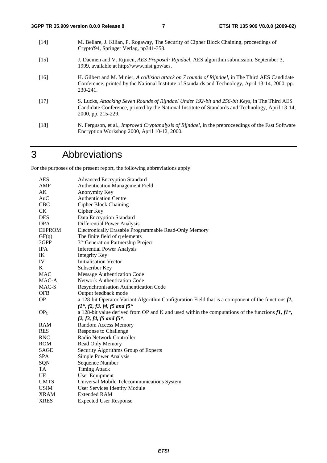[14] M. Bellare, J. Kilian, P. Rogaway, The Security of Cipher Block Chaining, proceedings of Crypto'94, Springer Verlag, pp341-358. [15] J. Daemen and V. Rijmen, *AES Proposal: Rijndael*, AES algorithm submission. September 3, 1999, available at http://www.nist.gov/aes. [16] H. Gilbert and M. Minier, *A collision attack on 7 rounds of Rijndael*, in The Third AES Candidate Conference, printed by the National Institute of Standards and Technology, April 13-14, 2000, pp. 230-241. [17] S. Lucks, *Attacking Seven Rounds of Rijndael Under 192-bit and 256-bit Keys,* in The Third AES Candidate Conference, printed by the National Institute of Standards and Technology, April 13-14, 2000, pp. 215-229. [18] N. Ferguson, et al., *Improved Cryptanalysis of Rijndael*, in the preproceedings of the Fast Software Encryption Workshop 2000, April 10-12, 2000.

## 3 Abbreviations

For the purposes of the present report, the following abbreviations apply:

| <b>AES</b>      | <b>Advanced Encryption Standard</b>                                                                           |
|-----------------|---------------------------------------------------------------------------------------------------------------|
| AMF             | <b>Authentication Management Field</b>                                                                        |
| AK              | Anonymity Key                                                                                                 |
| AuC             | <b>Authentication Centre</b>                                                                                  |
| <b>CBC</b>      | <b>Cipher Block Chaining</b>                                                                                  |
| CK              | Cipher Key                                                                                                    |
| <b>DES</b>      | Data Encryption Standard                                                                                      |
| <b>DPA</b>      | Differential Power Analysis                                                                                   |
| <b>EEPROM</b>   | Electronically Erasable Programmable Read-Only Memory                                                         |
| GF(q)           | The finite field of q elements                                                                                |
| 3GPP            | 3 <sup>rd</sup> Generation Partnership Project                                                                |
| <b>IPA</b>      | <b>Inferential Power Analysis</b>                                                                             |
| IK              | <b>Integrity Key</b>                                                                                          |
| IV              | <b>Initialisation Vector</b>                                                                                  |
| K               | Subscriber Key                                                                                                |
| <b>MAC</b>      | Message Authentication Code                                                                                   |
| MAC-A           | <b>Network Authentication Code</b>                                                                            |
| MAC-S           | Resynchronisation Authentication Code                                                                         |
| <b>OFB</b>      | Output feedback mode                                                                                          |
| <b>OP</b>       | a 128-bit Operator Variant Algorithm Configuration Field that is a component of the functions $f\mathbf{I}$ , |
|                 | $f1^*, f2, f3, f4, f5$ and $f5^*$                                                                             |
| OP <sub>C</sub> | a 128-bit value derived from OP and K and used within the computations of the functions $f1, f1^*$ ,          |
|                 | $f2, f3, f4, f5$ and $f5$ *.                                                                                  |
| <b>RAM</b>      | <b>Random Access Memory</b>                                                                                   |
| <b>RES</b>      | <b>Response to Challenge</b>                                                                                  |
| <b>RNC</b>      | Radio Network Controller                                                                                      |
| <b>ROM</b>      | Read Only Memory                                                                                              |
| SAGE            | Security Algorithms Group of Experts                                                                          |
| <b>SPA</b>      | Simple Power Analysis                                                                                         |
| SQN             | Sequence Number                                                                                               |
| TA              | <b>Timing Attack</b>                                                                                          |
| UE              | User Equipment                                                                                                |
| <b>UMTS</b>     | Universal Mobile Telecommunications System                                                                    |
| <b>USIM</b>     | User Services Identity Module                                                                                 |
| <b>XRAM</b>     | <b>Extended RAM</b>                                                                                           |
| <b>XRES</b>     | <b>Expected User Response</b>                                                                                 |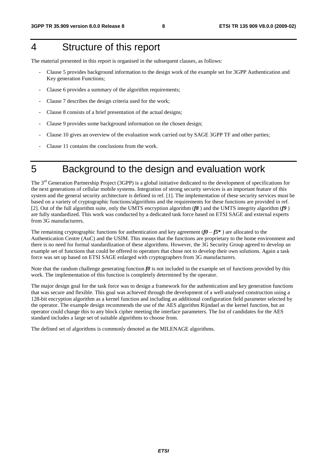## 4 Structure of this report

The material presented in this report is organised in the subsequent clauses, as follows:

- Clause 5 provides background information to the design work of the example set for 3GPP Authentication and Key generation Functions;
- Clause 6 provides a summary of the algorithm requirements;
- Clause 7 describes the design criteria used for the work;
- Clause 8 consists of a brief presentation of the actual designs;
- Clause 9 provides some background information on the chosen design;
- Clause 10 gives an overview of the evaluation work carried out by SAGE 3GPP TF and other parties;
- Clause 11 contains the conclusions from the work.
- 

## 5 Background to the design and evaluation work

The  $3<sup>rd</sup>$  Generation Partnership Project (3GPP) is a global initiative dedicated to the development of specifications for the next generations of cellular mobile systems. Integration of strong security services is an important feature of this system and the general security architecture is defined in ref. [1]. The implementation of these security services must be based on a variety of cryptographic functions/algorithms and the requirements for these functions are provided in ref. [2]. Out of the full algorithm suite, only the UMTS encryption algorithm (*f8* ) and the UMTS integrity algorithm (*f9* ) are fully standardized. This work was conducted by a dedicated task force based on ETSI SAGE and external experts from 3G manufacturers.

The remaining cryptographic functions for authentication and key agreement ( $f0 - f5$ <sup>\*</sup>) are allocated to the Authentication Centre (AuC) and the USIM. This means that the functions are proprietary to the home environment and there is no need for formal standardization of these algorithms. However, the 3G Security Group agreed to develop an example set of functions that could be offered to operators that chose not to develop their own solutions. Again a task force was set up based on ETSI SAGE enlarged with cryptographers from 3G manufacturers.

Note that the random challenge generating function *f0* is not included in the example set of functions provided by this work. The implementation of this function is completely determined by the operator.

The major design goal for the task force was to design a framework for the authentication and key generation functions that was secure and flexible. This goal was achieved through the development of a well-analysed construction using a 128-bit encryption algorithm as a kernel function and including an additional configuration field parameter selected by the operator. The example design recommends the use of the AES algorithm Rijndael as the kernel function, but an operator could change this to any block cipher meeting the interface parameters. The list of candidates for the AES standard includes a large set of suitable algorithms to choose from.

The defined set of algorithms is commonly denoted as the MILENAGE algorithms.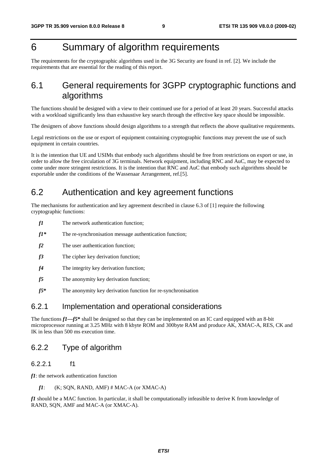## 6 Summary of algorithm requirements

The requirements for the cryptographic algorithms used in the 3G Security are found in ref. [2]. We include the requirements that are essential for the reading of this report.

### 6.1 General requirements for 3GPP cryptographic functions and algorithms

The functions should be designed with a view to their continued use for a period of at least 20 years. Successful attacks with a workload significantly less than exhaustive key search through the effective key space should be impossible.

The designers of above functions should design algorithms to a strength that reflects the above qualitative requirements.

Legal restrictions on the use or export of equipment containing cryptographic functions may prevent the use of such equipment in certain countries.

It is the intention that UE and USIMs that embody such algorithms should be free from restrictions on export or use, in order to allow the free circulation of 3G terminals. Network equipment, including RNC and AuC, may be expected to come under more stringent restrictions. It is the intention that RNC and AuC that embody such algorithms should be exportable under the conditions of the Wassenaar Arrangement, ref.[5].

### 6.2 Authentication and key agreement functions

The mechanisms for authentication and key agreement described in clause 6.3 of [1] require the following cryptographic functions:

- *f1* The network authentication function;
- *f1\** The re-synchronisation message authentication function;
- *f2* The user authentication function:
- *f3* The cipher key derivation function;
- *f4* The integrity key derivation function;
- *f5* The anonymity key derivation function;
- *f5***\*** The anonymity key derivation function for re-synchronisation

#### 6.2.1 Implementation and operational considerations

The functions *f1—f5***\*** shall be designed so that they can be implemented on an IC card equipped with an 8-bit microprocessor running at 3.25 MHz with 8 kbyte ROM and 300byte RAM and produce AK, XMAC-A, RES, CK and IK in less than 500 ms execution time.

#### 6.2.2 Type of algorithm

#### 6.2.2.1 f1

*f1*: the network authentication function

```
f1: (K; SQN, RAND, AMF) \# MAC-A (or XMAC-A)
```
*f1* should be a MAC function. In particular, it shall be computationally infeasible to derive K from knowledge of RAND, SQN, AMF and MAC-A (or XMAC-A).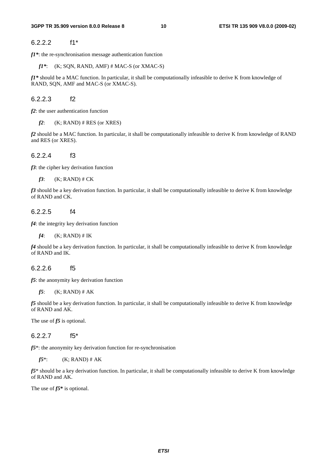#### 6.2.2.2 f1\*

*f1\**: the re-synchronisation message authentication function

*f1\**: (K; SQN, RAND, AMF) # MAC-S (or XMAC-S)

*f1\** should be a MAC function. In particular, it shall be computationally infeasible to derive K from knowledge of RAND, SQN, AMF and MAC-S (or XMAC-S).

6.2.2.3 f2

*f2*: the user authentication function

 $f2$ : (K; RAND) # RES (or XRES)

*f2* should be a MAC function. In particular, it shall be computationally infeasible to derive K from knowledge of RAND and RES (or XRES).

6.2.2.4 f3

*f3*: the cipher key derivation function

*f3*:  $(K; RAND) \# CK$ 

*f3* should be a key derivation function. In particular, it shall be computationally infeasible to derive K from knowledge of RAND and CK.

#### 6.2.2.5 f4

*f4*: the integrity key derivation function

 $f4$ : (K; RAND) # IK

*f4* should be a key derivation function. In particular, it shall be computationally infeasible to derive K from knowledge of RAND and IK.

#### 6.2.2.6 f5

*f5*: the anonymity key derivation function

*f5*: (K; RAND) # AK

*f5* should be a key derivation function. In particular, it shall be computationally infeasible to derive K from knowledge of RAND and AK.

The use of *f5* is optional.

#### 6.2.2.7 f5\*

*f5*\*: the anonymity key derivation function for re-synchronisation

*f* $5^*$ : (K; RAND) # AK

*f5*\* should be a key derivation function. In particular, it shall be computationally infeasible to derive K from knowledge of RAND and AK.

The use of *f5***\*** is optional.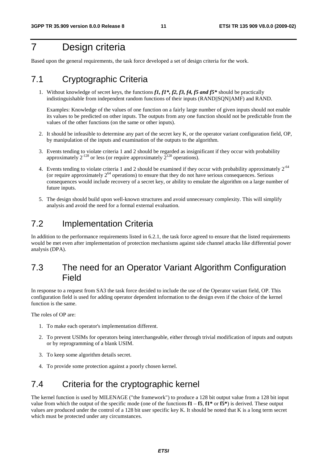## 7 Design criteria

Based upon the general requirements, the task force developed a set of design criteria for the work.

### 7.1 Cryptographic Criteria

1. Without knowledge of secret keys, the functions *f1, f1\*, f2, f3, f4, f5 and f5\** should be practically indistinguishable from independent random functions of their inputs (RAND||SQN||AMF) and RAND.

 Examples: Knowledge of the values of one function on a fairly large number of given inputs should not enable its values to be predicted on other inputs. The outputs from any one function should not be predictable from the values of the other functions (on the same or other inputs).

- 2. It should be infeasible to determine any part of the secret key K, or the operator variant configuration field, OP, by manipulation of the inputs and examination of the outputs to the algorithm.
- 3. Events tending to violate criteria 1 and 2 should be regarded as insignificant if they occur with probability approximately  $2^{128}$  or less (or require approximately  $2^{128}$  operations).
- 4. Events tending to violate criteria 1 and 2 should be examined if they occur with probability approximately  $2^{-64}$ (or require approximately  $2^{64}$  operations) to ensure that they do not have serious consequences. Serious consequences would include recovery of a secret key, or ability to emulate the algorithm on a large number of future inputs.
- 5. The design should build upon well-known structures and avoid unnecessary complexity. This will simplify analysis and avoid the need for a formal external evaluation.

### 7.2 Implementation Criteria

In addition to the performance requirements listed in 6.2.1, the task force agreed to ensure that the listed requirements would be met even after implementation of protection mechanisms against side channel attacks like differential power analysis (DPA).

### 7.3 The need for an Operator Variant Algorithm Configuration Field

In response to a request from SA3 the task force decided to include the use of the Operator variant field, OP. This configuration field is used for adding operator dependent information to the design even if the choice of the kernel function is the same.

The roles of OP are:

- 1. To make each operator's implementation different.
- 2. To prevent USIMs for operators being interchangeable, either through trivial modification of inputs and outputs or by reprogramming of a blank USIM.
- 3. To keep some algorithm details secret.
- 4. To provide some protection against a poorly chosen kernel.

### 7.4 Criteria for the cryptographic kernel

The kernel function is used by MILENAGE ("the framework") to produce a 128 bit output value from a 128 bit input value from which the output of the specific mode (one of the functions  $f1 - f5$ ,  $f1^*$  or  $f5^*$ ) is derived. These output values are produced under the control of a 128 bit user specific key K. It should be noted that K is a long term secret which must be protected under any circumstances.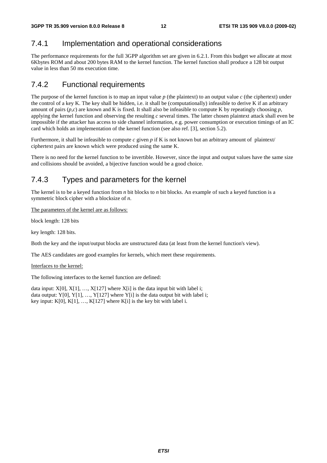### 7.4.1 Implementation and operational considerations

The performance requirements for the full 3GPP algorithm set are given in 6.2.1. From this budget we allocate at most 6Kbytes ROM and about 200 bytes RAM to the kernel function. The kernel function shall produce a 128 bit output value in less than 50 ms execution time.

### 7.4.2 Functional requirements

The purpose of the kernel function is to map an input value  $p$  (the plaintext) to an output value  $c$  (the ciphertext) under the control of a key K. The key shall be hidden, i.e. it shall be (computationally) infeasible to derive K if an arbitrary amount of pairs  $(p, c)$  are known and K is fixed. It shall also be infeasible to compute K by repeatingly choosing  $p$ , applying the kernel function and observing the resulting *c* several times. The latter chosen plaintext attack shall even be impossible if the attacker has access to side channel information, e.g. power consumption or execution timings of an IC card which holds an implementation of the kernel function (see also ref. [3], section 5.2).

Furthermore, it shall be infeasible to compute *c* given *p* if K is not known but an arbitrary amount of plaintext/ ciphertext pairs are known which were produced using the same K.

There is no need for the kernel function to be invertible. However, since the input and output values have the same size and collisions should be avoided, a bijective function would be a good choice.

### 7.4.3 Types and parameters for the kernel

The kernel is to be a keyed function from *n* bit blocks to *n* bit blocks. An example of such a keyed function is a symmetric block cipher with a blocksize of *n*.

The parameters of the kernel are as follows:

block length: 128 bits

key length: 128 bits.

Both the key and the input/output blocks are unstructured data (at least from the kernel function's view).

The AES candidates are good examples for kernels, which meet these requirements.

#### Interfaces to the kernel:

The following interfaces to the kernel function are defined:

data input:  $X[0], X[1], ..., X[127]$  where  $X[i]$  is the data input bit with label i; data output: Y[0], Y[1], ..., Y[127] where Y[i] is the data output bit with label i; key input: K[0], K[1], …, K[127] where K[i] is the key bit with label i.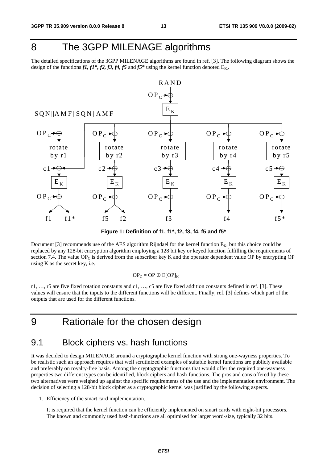## 8 The 3GPP MILENAGE algorithms

The detailed specifications of the 3GPP MILENAGE algorithms are found in ref. [3]. The following diagram shows the design of the functions  $f1, f1^*, f2, f3, f4, f5$  and  $f5^*$  using the kernel function denoted  $E_K$ .



**Figure 1: Definition of f1, f1\*, f2, f3, f4, f5 and f5\*** 

Document [3] recommends use of the AES algorithm Rijndael for the kernel function  $E_K$ , but this choice could be replaced by any 128-bit encryption algorithm employing a 128 bit key or keyed function fulfilling the requirements of section 7.4. The value  $OP_C$  is derived from the subscriber key K and the operator dependent value OP by encrypting OP using K as the secret key, i.e.

$$
\mathbf{OP}_{\mathbf{C}} = \mathbf{OP} \oplus \mathbf{E}[\mathbf{OP}]_{\mathbf{K}}
$$

r1, ..., r5 are five fixed rotation constants and  $c_1, \ldots, c_5$  are five fixed addition constants defined in ref. [3]. These values will ensure that the inputs to the different functions will be different. Finally, ref. [3] defines which part of the outputs that are used for the different functions.

### 9 Rationale for the chosen design

### 9.1 Block ciphers vs. hash functions

It was decided to design MILENAGE around a cryptographic kernel function with strong one-wayness properties. To be realistic such an approach requires that well scrutinized examples of suitable kernel functions are publicly available and preferably on royalty-free basis. Among the cryptographic functions that would offer the required one-wayness properties two different types can be identified, block ciphers and hash-functions. The pros and cons offered by these two alternatives were weighed up against the specific requirements of the use and the implementation environment. The decision of selecting a 128-bit block cipher as a cryptographic kernel was justified by the following aspects.

1. Efficiency of the smart card implementation.

 It is required that the kernel function can be efficiently implemented on smart cards with eight-bit processors. The known and commonly used hash-functions are all optimised for larger word-size, typically 32 bits.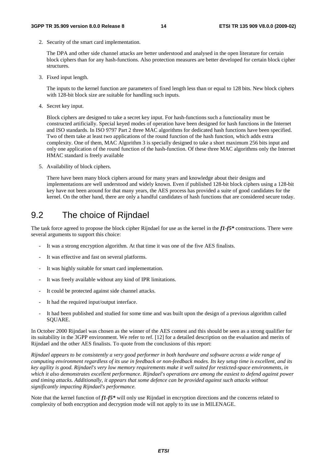2. Security of the smart card implementation.

 The DPA and other side channel attacks are better understood and analysed in the open literature for certain block ciphers than for any hash-functions. Also protection measures are better developed for certain block cipher structures.

3. Fixed input length.

 The inputs to the kernel function are parameters of fixed length less than or equal to 128 bits. New block ciphers with 128-bit block size are suitable for handling such inputs.

4. Secret key input.

 Block ciphers are designed to take a secret key input. For hash-functions such a functionality must be constructed artificially. Special keyed modes of operation have been designed for hash functions in the Internet and ISO standards. In ISO 9797 Part 2 three MAC algorithms for dedicated hash functions have been specified. Two of them take at least two applications of the round function of the hash function, which adds extra complexity. One of them, MAC Algorithm 3 is specially designed to take a short maximum 256 bits input and only one application of the round function of the hash-function. Of these three MAC algorithms only the Internet HMAC standard is freely available

5. Availability of block ciphers.

 There have been many block ciphers around for many years and knowledge about their designs and implementations are well understood and widely known. Even if published 128-bit block ciphers using a 128-bit key have not been around for that many years, the AES process has provided a suite of good candidates for the kernel. On the other hand, there are only a handful candidates of hash functions that are considered secure today.

## 9.2 The choice of Rijndael

The task force agreed to propose the block cipher Rijndael for use as the kernel in the *f1-f5\** constructions. There were several arguments to support this choice:

- It was a strong encryption algorithm. At that time it was one of the five AES finalists.
- It was effective and fast on several platforms.
- It was highly suitable for smart card implementation.
- It was freely available without any kind of IPR limitations.
- It could be protected against side channel attacks.
- It had the required input/output interface.
- It had been published and studied for some time and was built upon the design of a previous algorithm called SQUARE.

In October 2000 Rijndael was chosen as the winner of the AES contest and this should be seen as a strong qualifier for its suitability in the 3GPP environment. We refer to ref. [12] for a detailed description on the evaluation and merits of Rijndael and the other AES finalists. To quote from the conclusions of this report:

*Rijndael appears to be consistently a very good performer in both hardware and software across a wide range of computing environment regardless of its use in feedback or non-feedback modes. Its key setup time is excellent, and its key agility is good. Rijndael's very low memory requirements make it well suited for resticted-space environments, in which it also demonstrates excellent performance. Rijndael's operations are among the easiest to defend against power and timing attacks. Additionally, it appears that some defence can be provided against such attacks without significantly impacting Rijndael's performance.* 

Note that the kernel function of *f1-f5\** will only use Rijndael in encryption directions and the concerns related to complexity of both encryption and decryption mode will not apply to its use in MILENAGE.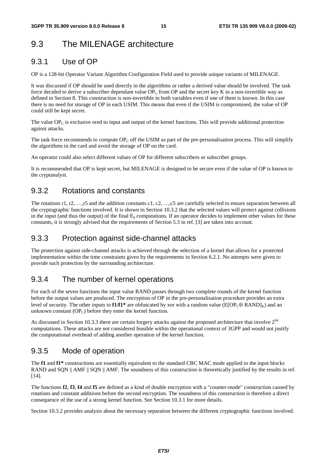## 9.3 The MILENAGE architecture

### 9.3.1 Use of OP

OP is a 128-bit Operator Variant Algorithm Configuration Field used to provide unique variants of MILENAGE.

It was discussed if OP should be used directly in the algorithms or rather a derived value should be involved. The task force decided to derive a subscriber dependant value  $OP_C$  from OP and the secret key K in a non-invertible way as defined in Section 8. This construction is non-invertible in both variables even if one of them is known. In this case there is no need for storage of OP in each USIM. This means that even if the USIM is compromised, the value of OP could still be kept secret.

The value  $OP_C$  is exclusive ored to input and output of the kernel functions. This will provide additional protection against attacks.

The task force recommends to compute  $OP_C$  off the USIM as part of the pre-personalisation process. This will simplify the algorithms in the card and avoid the storage of OP on the card.

An operator could also select different values of OP for different subscribers or subscriber groups.

It is recommended that OP is kept secret, but MILENAGE is designed to be secure even if the value of OP is known to the cryptanalyst.

### 9.3.2 Rotations and constants

The rotations r1, r2, …,r5 and the addition constants c1, c2, …,c5 are carefully selected to ensure separation between all the cryptographic functions involved. It is shown in Section 10.3.2 that the selected values will protect against collisions in the input (and thus the output) of the final  $E_k$  computations. If an operator decides to implement other values for these constants, it is strongly advised that the requirements of Section 5.3 in ref. [3] are taken into account.

### 9.3.3 Protection against side-channel attacks

The protection against side-channel attacks is achieved through the selection of a kernel that allows for a protected implementation within the time constraints given by the requirements in Section 6.2.1. No attempts were given to provide such protection by the surrounding architecture.

### 9.3.4 The number of kernel operations

For each of the seven functions the input value RAND passes through two complete rounds of the kernel function before the output values are produced. The encryption of OP in the pre-personalisation procedure provides an extra level of security. The other inputs to **f1/f1<sup>\*</sup>** are obfuscated by xor with a random value ( $E[OP<sub>C</sub>oplus RAND]<sub>K</sub>$ ) and an unknown constant  $OP_C$ ) before they enter the kernel function.

As discussed in Section 10.3.3 there are certain forgery attacks against the proposed architecture that involve  $2^{64}$ computations. These attacks are not considered feasible within the operational context of 3GPP and would not justify the computational overhead of adding another operation of the kernel function.

### 9.3.5 Mode of operation

The **f1** and **f1\*** constructions are essentially equivalent to the standard CBC MAC mode applied to the input blocks RAND and SQN || AMF || SQN || AMF. The soundness of this construction is theoretically justified by the results in ref. [14].

The functions **f2**, **f3**, **f4** and **f5** are defined as a kind of double encryption with a "counter-mode" construction caused by rotations and constant additions before the second encryption. The soundness of this construction is therefore a direct consequence of the use of a strong kernel function. See Section 10.3.1 for more details.

Section 10.3.2 provides analysis about the necessary separation between the different cryptographic functions involved.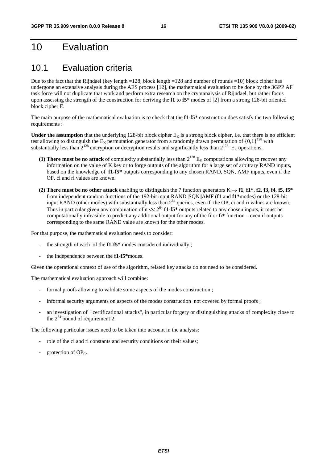## 10 Evaluation

### 10.1 Evaluation criteria

Due to the fact that the Rijndael (key length =128, block length =128 and number of rounds =10) block cipher has undergone an extensive analysis during the AES process [12], the mathematical evaluation to be done by the 3GPP AF task force will not duplicate that work and perform extra research on the cryptanalysis of Rijndael, but rather focus upon assessing the strength of the construction for deriving the **f1** to **f5**\* modes of [2] from a strong 128-bit oriented block cipher E.

The main purpose of the mathematical evaluation is to check that the **f1**-**f5**\* construction does satisfy the two following requirements :

**Under the assumption** that the underlying 128-bit block cipher  $E_K$  is a strong block cipher, i.e. that there is no efficient test allowing to distinguish the  $E_K$  permutation generator from a randomly drawn permutation of  ${0,1}^{128}$  with substantially less than  $2^{128}$  encryption or decryption results and significantly less than  $2^{128}$  E<sub>K</sub> operations,

- (1) There must be no attack of complexity substantially less than  $2^{128}$  E<sub>K</sub> computations allowing to recover any information on the value of K key or to forge outputs of the algorithm for a large set of arbitrary RAND inputs, based on the knowledge of **f1**-**f5\*** outputs corresponding to any chosen RAND, SQN, AMF inputs, even if the OP, ci and ri values are known.
- **(2) There must be no other attack** enabling to distinguish the 7 function generators  $K \mapsto f1$ ,  $f1^*$ ,  $f2$ ,  $f3$ ,  $f4$ ,  $f5$ ,  $f5^*$ from independent random functions of the 192-bit input RAND||SQN||AMF (**f1** and **f1\***modes) or the 128-bit input RAND (other modes) with substantially less than  $2^{64}$  queries, even if the OP, ci and ri values are known. Thus in particular given any combination of  $n \ll 2^{64}$  **f1-f5<sup>\*</sup>** outputs related to any chosen inputs, it must be computationally infeasible to predict any additional output for any of the fi or fi\* function – even if outputs corresponding to the same RAND value are known for the other modes.

For that purpose, the mathematical evaluation needs to consider:

- the strength of each of the **f1**-**f5\*** modes considered individually ;
- the independence between the **f1**-**f5\***modes.

Given the operational context of use of the algorithm, related key attacks do not need to be considered.

The mathematical evaluation approach will combine:

- formal proofs allowing to validate some aspects of the modes construction;
- informal security arguments on aspects of the modes construction not covered by formal proofs;
- an investigation of "certificational attacks", in particular forgery or distinguishing attacks of complexity close to the  $2^{64}$  bound of requirement 2.

The following particular issues need to be taken into account in the analysis:

- role of the ci and ri constants and security conditions on their values;
- protection of  $OP<sub>C</sub>$ .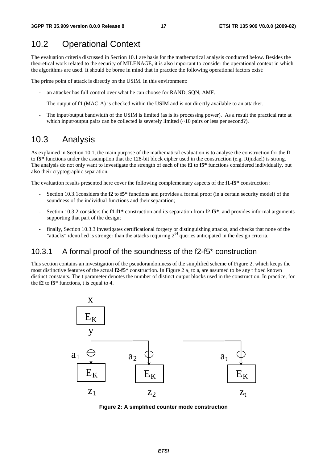### 10.2 Operational Context

The evaluation criteria discussed in Section 10.1 are basis for the mathematical analysis conducted below. Besides the theoretical work related to the security of MILENAGE, it is also important to consider the operational context in which the algorithms are used. It should be borne in mind that in practice the following operational factors exist:

The prime point of attack is directly on the USIM. In this environment:

- an attacker has full control over what he can choose for RAND, SQN, AMF.
- The output of **f1** (MAC-A) is checked within the USIM and is not directly available to an attacker.
- The input/output bandwidth of the USIM is limited (as is its processing power). As a result the practical rate at which input/output pairs can be collected is severely limited  $(\sim 10$  pairs or less per second?).

### 10.3 Analysis

As explained in Section 10.1, the main purpose of the mathematical evaluation is to analyse the construction for the **f1** to **f5\*** functions under the assumption that the 128-bit block cipher used in the construction (e.g. Rijndael) is strong. The analysis do not only want to investigate the strength of each of the **f1** to **f5\*** functions considered individually, but also their cryptographic separation.

The evaluation results presented here cover the following complementary aspects of the **f1**-**f5\*** construction :

- Section 10.3.1considers the **f2** to **f5\*** functions and provides a formal proof (in a certain security model) of the soundness of the individual functions and their separation;
- Section 10.3.2 considers the **f1**-**f1\*** construction and its separation from **f2**-**f5\***, and provides informal arguments supporting that part of the design;
- finally, Section 10.3.3 investigates certificational forgery or distinguishing attacks, and checks that none of the "attacks" identified is stronger than the attacks requiring  $2^{64}$  queries anticipated in the design criteria.

### 10.3.1 A formal proof of the soundness of the f2-f5\* construction

This section contains an investigation of the pseudorandomness of the simplified scheme of Figure 2, which keeps the most distinctive features of the actual **f2-f5**\* construction. In Figure 2  $a_1$  to  $a_n$  are assumed to be any t fixed known distinct constants. The t parameter denotes the number of distinct output blocks used in the construction. In practice, for the **f2** to **f5**\* functions, t is equal to 4.



**Figure 2: A simplified counter mode construction**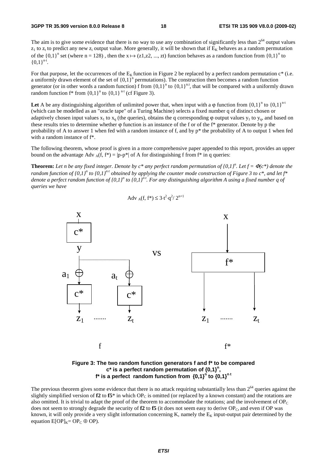The aim is to give some evidence that there is no way to use any combination of significantly less than  $2^{64}$  output values  $z_1$  to  $z_t$  to predict any new  $z_i$  output value. More generally, it will be shown that if  $E_k$  behaves as a random permutation of the  $\{0,1\}^n$  set (where n = 128), then the  $x \mapsto (z1, z2, ..., zt)$  function behaves as a random function from  $\{0,1\}^n$  to  $I(0,1)^{n \times t}$  ${0,1}^{\mathrm{n}\cdot\mathrm{t}}.$ 

For that purpose, let the occurrences of the  $E<sub>K</sub>$  function in Figure 2 be replaced by a perfect random permutation  $c^*$  (i.e. a uniformly drawn element of the set of  ${0,1}^n$  permutations). The construction then becomes a random function generator (or in other words a random function) f from  ${0,1}^n$  to  ${0,1}^n$ , that will be compared with a uniformly drawn random function  $f^*$  from  $\{0,1\}^n$  to  $\{0,1\}^{n \cdot t}$  (cf Figure 3).

Let A be any distinguishing algorithm of unlimited power that, when input with a  $\varphi$  function from  $\{0,1\}^n$  to  $\{0,1\}^n$ <sup>tt</sup> (which can be modelled as an "oracle tape" of a Turing Machine) selects a fixed number q of distinct chosen or adaptively chosen input values  $x_1$  to  $x_0$  (the queries), obtains the q corresponding  $\varphi$  output values  $y_1$  to  $y_0$ , and based on these results tries to determine whether  $\varphi$  function is an instance of the f or of the f\* generator. Denote by p the probability of A to answer 1 when fed with a random instance of f, and by  $p^*$  the probability of A to output 1 when fed with a random instance of f\*.

The following theorem, whose proof is given in a more comprehensive paper appended to this report, provides an upper bound on the advantage Adv  $_A(f, f^*) = |p-p^*|$  of A for distinguishing f from  $f^*$  in q queries:

**Theorem:** Let n be any fixed integer. Denote by  $c^*$  any perfect random permutation of  $\{0,1\}^n$ . Let  $f = \Phi(c^*)$  denote the *random function of {0,1}<sup>n</sup> to {0,1}<sup>n+</sup> obtained by applying the counter mode construction of Figure 3 to c\*, and let f\* denote a perfect random function of {0,1}<sup>n</sup> to {0,1}<sup>n+</sup>. For any distinguishing algorithm A using a fixed number q of queries we have* 

$$
Adv_A(f, f^*) \le 3 \cdot t^2 \cdot q^2 / 2^{n+1}
$$



#### **Figure 3: The two random function generators f and f\* to be compared**   $c^*$  is a perfect random permutation of  ${0,1}^n$ , **f\*** is a perfect random function from  $\{0,1\}^n$  to  $\{0,1\}^{n\cdot t}$

The previous theorem gives some evidence that there is no attack requiring substantially less than  $2^{64}$  queries against the slightly simplified version of  $f2$  to  $f5^*$  in which OP<sub>C</sub> is omitted (or replaced by a known constant) and the rotations are also omitted. It is trivial to adapt the proof of the theorem to accommodate the rotations; and the involvement of  $OP<sub>C</sub>$ does not seem to strongly degrade the security of  $f2$  to  $f5$  (it does not seem easy to derive  $OP<sub>C</sub>$ , and even if OP was known, it will only provide a very slight information concerning K, namely the  $E_K$  input-output pair determined by the equation  $E[OP]_{K} = OP_C \oplus OP$ .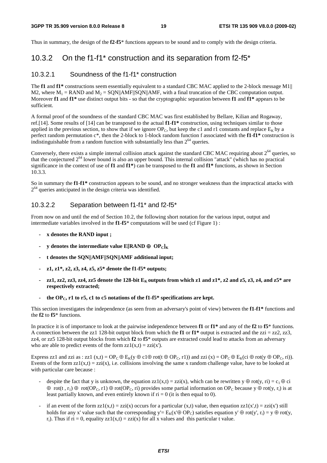Thus in summary, the design of the **f2**-**f5**\* functions appears to be sound and to comply with the design criteria.

#### 10.3.2 On the f1-f1\* construction and its separation from f2-f5\*

#### 10.3.2.1 Soundness of the f1-f1\* construction

The **f1** and **f1\*** constructions seem essentially equivalent to a standard CBC MAC applied to the 2-block message M1|| M2, where  $M_1 = RAND$  and  $M_2 = SQN||AMF||SQN||AMF$ , with a final truncation of the CBC computation output. Moreover **f1** and **f1\*** use distinct output bits - so that the cryptographic separation between **f1** and **f1\*** appears to be sufficient.

A formal proof of the soundness of the standard CBC MAC was first established by Bellare, Kilian and Rogaway, ref.[14]. Some results of [14] can be transposed to the actual **f1**-**f1\*** construction, using techniques similar to those applied in the previous section, to show that if we ignore  $OP_C$ , but keep the c1 and r1 constants and replace  $E_K$  by a perfect random permutation c\*, then the 2-block to 1-block random function f associated with the **f1**-**f1\*** construction is indistinguishable from a random function with substantially less than  $2^{64}$  queries.

Conversely, there exists a simple internal collision attack against the standard CBC MAC requiring about  $2^{64}$  queries, so that the conjectured 264 lower bound is also an upper bound. This internal collision "attack" (which has no practical significance in the context of use of **f1** and **f1\***) can be transposed to the **f1** and **f1\*** functions, as shown in Section 10.3.3.

So in summary the **f1**-**f1\*** construction appears to be sound, and no stronger weakness than the impractical attacks with  $2<sup>64</sup>$  queries anticipated in the design criteria was identified.

#### 10.3.2.2 Separation between f1-f1\* and f2-f5\*

From now on and until the end of Section 10.2, the following short notation for the various input, output and intermediate variables involved in the **f1**-**f5**\* computations will be used (cf Figure 1) :

- **x denotes the RAND input ;**
- **y** denotes the intermediate value  $E[RAND \oplus OP_C]_K$
- **t denotes the SQN||AMF||SQN||AMF additional input;**
- **z1, z1\*, z2, z3, z4, z5, z5\* denote the f1-f5\* outputs;**
- $zz1$ ,  $zz2$ ,  $zz3$ ,  $zz4$ ,  $zz5$  denote the 128-bit  $E<sub>K</sub>$  outputs from which  $z1$  and  $z1$ <sup>\*</sup>,  $z2$  and  $z5$ ,  $z3$ ,  $z4$ , and  $z5$ <sup>\*</sup> are **respectively extracted;**
- the  $OP_C$ , r1 to r5, c1 to c5 notations of the f1-f5\* specifications are kept.

This section investigates the independence (as seen from an adversary's point of view) between the **f1**-**f1\*** functions and the **f2** to **f5**\* functions.

In practice it is of importance to look at the pairwise independence between **f1** or **f1\*** and any of the **f2** to **f5**\* functions. A connection between the zz1 128-bit output block from which the **f1** or  $f1^*$  output is extracted and the zzi = zz2, zz3, zz4, or zz5 128-bit output blocks from which **f2** to **f5**\* outputs are extracted could lead to attacks from an adversary who are able to predict events of the form  $zz1(x,t) = zzi(x')$ .

Express zz1 and zzi as : zz1 (x,t) = OP<sub>C</sub>  $\oplus$  E<sub>K</sub>(y  $\oplus$  c1 $\oplus$  rot(t  $\oplus$  OP<sub>C</sub>, r1)) and zzi (x) = OP<sub>C</sub> $\oplus$  E<sub>K</sub>(ci  $\oplus$  rot(y  $\oplus$  OP<sub>C</sub>, ri)). Events of the form  $zz1(x,t) = zzi(x)$ , i.e. collisions involving the same x random challenge value, have to be looked at with particular care because :

- despite the fact that y is unknown, the equation  $zz1(x,t) = zzi(x)$ , which can be rewritten  $y \oplus rot(y, ri) = c_1 \oplus ci$  $\oplus$  rot(t, r<sub>1</sub>)  $\oplus$  rot(OP<sub>C</sub>, r1)  $\oplus$  rot(OP<sub>C</sub>, ri) provides some partial information on OP<sub>C</sub> because y  $\oplus$  rot(y, r<sub>i</sub>) is at least partially known, and even entirely known if  $ri = 0$  (it is then equal to 0).
- if an event of the form  $zz1(x,t) = zzi(x)$  occurs for a particular  $(x,t)$  value, then equation  $zz1(x',t) = zzi(x')$  still holds for any x' value such that the corresponding y'=  $E_K(x' \oplus OP_C)$  satisfies equation y'  $\oplus$  rot(y', r<sub>i</sub>) = y  $\oplus$  rot(y, r<sub>i</sub>). Thus if  $ri = 0$ , equality  $zz1(x,t) = zzi(x)$  for all x values and this particular t value.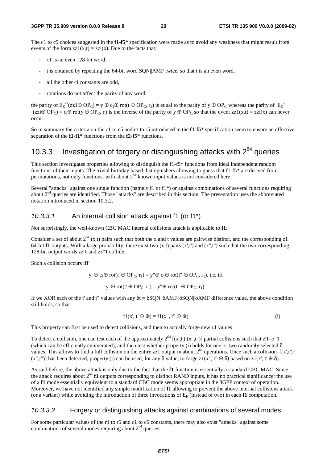The c1 to c5 choices suggested in the **f1**-**f5**\* specification were made as to avoid any weakness that might result from events of the form  $zz1(x,t) = zzi(x)$ . Due to the facts that:

- c1 is an even 128-bit word,
- t is obtained by repeating the 64-bit word SQN||AMF twice, so that t is an even word,
- all the other ci constants are odd,
- rotations do not affect the parity of any word,

the parity of  $E_K^{-1}(zz1\oplus OP_C) = y \oplus c_1 \oplus rot(t \oplus OP_C, r_1)$  is equal to the parity of  $y \oplus OP_C$ , whereas the parity of  $E_K$  ${}^{1}(zzi\oplus OP_C) = c_i\oplus rot(y \oplus OP_C, r_i)$  is the inverse of the parity of  $y \oplus OP_C$ , so that the event  $zz1(x,t) = zzi(x)$  can never occur.

So in summary the criteria on the c1 to c5 and r1 to r5 introduced in the **f1**-**f5**\* specification seem to ensure an effective separation of the **f1**-**f1\*** functions from the **f2**-**f5**\* functions.

## 10.3.3 Investigation of forgery or distinguishing attacks with  $2^{64}$  queries

This section investigates properties allowing to distinguish the f1-f5\* functions from ideal independent random functions of their inputs. The trivial birthday based distinguishers allowing to guess that f1-f5\* are derived from permutations, not only functions, with about  $2^{64}$  known input values is not considered here.

Several "attacks" against one single function (namely f1 or f1\*) or against combinations of several functions requiring about  $2<sup>64</sup>$  queries are identified. Those "attacks" are described in this section. The presentation uses the abbreviated notation introduced in section 10.3.2.

#### *10.3.3.1* An internal collision attack against f1 (or f1\*)

Not surprisingly, the well-known CBC MAC internal collisions attack is applicable to **f1**:

Consider a set of about  $2^{64}$  (x,t) pairs such that both the x and t values are pairwise distinct, and the corresponding z1 64-bit **f1** outputs. With a large probability, there exist two  $(x,t)$  pairs  $(x',t')$  and  $(x'',t'')$  such that the two corresponding 128-bit output words zz'1 and zz"1 collide.

Such a collision occurs iff

 $y' \oplus c_1 \oplus \text{rot}(t' \oplus \text{OP}_C, r_1) = y'' \oplus c_1 \oplus \text{rot}(t'' \oplus \text{OP}_C, r_1)$ , i.e. iff  $v' \oplus rot(t' \oplus OP_C, r_1) = v'' \oplus rot(t'' \oplus OP_C, r_1).$ 

If we XOR each of the t' and t" values with any  $\delta t = \delta SQN||\delta AMF||\delta SQN||\delta AMF$  difference value, the above condition still holds, so that

$$
f1(x', t' \oplus \delta t) = f1(x'', t'' \oplus \delta t)
$$
 (i)

This property can first be used to detect collisions, and then to actually forge new z1 values.

To detect a collision, one can test each of the approximately  $2^{64}$  [(x',t');(x",t")] partial collisions such that z'1=z"1 (which can be efficiently enumerated), and then test whether property (i) holds for one or two randomly selected  $\delta$ values. This allows to find a full collision on the entire zz1 output in about  $2^{64}$  operations. Once such a collision  $[(x',t')]$ ;  $(x",t")$  has been detected, property (i) can be used, for any  $\delta$  value, to forge z1(x", t"  $\oplus$   $\delta$ ) based on z1(x', t'  $\oplus$   $\delta$ ).

As said before, the above attack is only due to the fact that the **f1** function is essentially a standard CBC MAC. Since the attack requires about  $2^{64}$  **f1** outputs corresponding to distinct RAND inputs, it has no practical significance: the use of a **f1** mode essentially equivalent to a standard CBC mode seems appropriate in the 3GPP context of operation. Moreover, we have not identified any simple modification of **f1** allowing to prevent the above internal collisions attack (or a variant) while avoiding the introduction of three invocations of  $E_K$  (instead of two) in each **f1** computation.

#### *10.3.3.2* Forgery or distinguishing attacks against combinations of several modes

For some particular values of the r1 to r5 and c1 to c5 constants, there may also exist "attacks" against some combinations of several modes requiring about  $2^{64}$  queries.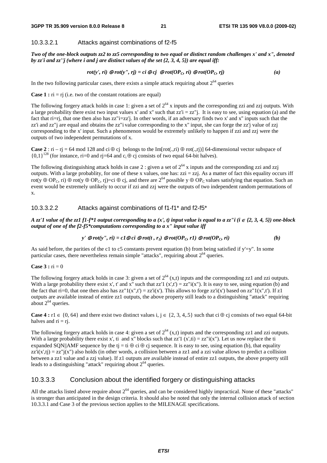#### 10.3.3.2.1 Attacks against combinations of f2-f5

*Two of the one-block outputs zz2 to zz5 corresponding to two equal or distinct random challenges x' and x", denoted by zz'i and zz''j (where i and j are distinct values of the set {2, 3, 4, 5}) are equal iff:* 

$$
rot(y', ri) \bigoplus rot(y'', rj) = ci \bigoplus cj \bigoplus rot(OP_C, ri) \bigoplus rot(OP_C, rj)
$$
 (a)

In the two following particular cases, there exists a simple attack requiring about  $2^{64}$  queries

**Case 1 :**  $ri = rj$  (i.e. two of the constant rotations are equal)

The following forgery attack holds in case 1: given a set of  $2^{64}$  x inputs and the corresponding zzi and zzj outputs. With a large probability there exist two input values x' and x" such that  $zz' = zz''$ . It is easy to see, using equation (a) and the fact that ri=rj, that one then also has zz"i=zz'j. In other words, if an adversary finds two x' and x" inputs such that the zz'i and zz"j are equal and obtains the zz"i value corresponding to the x'' input, she can forge the zz'j value of zzj corresponding to the x' input. Such a phenomenon would be extremely unlikely to happen if zzi and zzj were the outputs of two independent permutations of x.

**Case 2** : ri – rj = 64 mod 128 and ci ⊕ cj belongs to the Im[rot(.,ri) ⊕ rot(.,rj)] 64-dimensional vector subspace of  ${0.1}^{128}$  (for instance, ri=0 and ri=64 and c<sub>i</sub> ⊕ cj consists of two equal 64-bit halves).

The following distinguishing attack holds in case 2 : given a set of  $2^{64}$  x inputs and the corresponding zzi and zzj outputs. With a large probablity, for one of these x values, one has:  $zzi = zzi$ . As a matter of fact this equality occurs iff rot(y ⊕ OP<sub>C</sub>, ri) ⊕ rot(y ⊕ OP<sub>C</sub>, rj)=ci ⊕ cj, and there are 2<sup>64</sup> possible y ⊕ OP<sub>C</sub> values satisfying that equation. Such an event would be extremely unlikely to occur if zzi and zzj were the outputs of two independent random permutations of x.

#### 10.3.3.2.2 Attacks against combinations of f1-f1\* and f2-f5\*

*A zz'1 value of the zz1 f1-f\*1 output corresponding to a (x', t) input value is equal to a zz''i (i ∈ {2, 3, 4, 5}) one-block output of one of the f2-f5\*computations corresponding to a x" input value iff* 

$$
y' \bigoplus rot(y'', r\mathbf{i}) = c1 \bigoplus ci \bigoplus rot(t, r_1) \bigoplus rot(OP_C, r1) \bigoplus rot(OP_C, r\mathbf{i})
$$
 (b)

As said before, the parities of the c1 to c5 constants prevent equation (b) from being satisfied if  $y'=y''$ . In some particular cases, there nevertheless remain simple "attacks", requiring about  $2^{64}$  queries.

#### **Case 3 :**  $ri = 0$

The following forgery attack holds in case 3: given a set of  $2^{64}$  (x,t) inputs and the corresponding zz1 and zzi outputs. With a large probability there exist x', t' and x" such that zz'1 (x',t') = zz"i(x"). It is easy to see, using equation (b) and the fact that ri=0, that one then also has  $zz''1(x'',t') = zz'i(x')$ . This allows to forge  $zz'i(x')$  based on  $zz''1(x'',t')$ . If  $z1$ outputs are available instead of entire zz1 outputs, the above property still leads to a distinguishing "attack" requiring about  $2^{64}$  queries.

**Case 4 :** r1 ∈ {0, 64} and there exist two distinct values i, j ∈ {2, 3, 4,.5} such that ci ⊕ cj consists of two equal 64-bit halves and  $ri = rj$ .

The following forgery attack holds in case 4: given a set of  $2^{64}$  (x,t) inputs and the corresponding zz1 and zzi outputs. With a large probability there exist x', ti and x'' blocks such that zz'1 (x',ti) = zz"i(x''). Let us now replace the ti expanded SQN||AMF sequence by the tj = ti  $\oplus$  ci  $\oplus$  cj sequence. It is easy to see, using equation (b), that equality  $zz'i(x',t) = zz''j(x'')$  also holds (in other words, a collision between a zz1 and a zzi value allows to predict a collision between a zz1 value and a zzj value). If z1 outputs are available instead of entire zz1 outputs, the above property still leads to a distinguishing "attack" requiring about  $2^{64}$  queries.

#### 10.3.3.3 Conclusion about the identified forgery or distinguishing attacks

All the attacks listed above require about  $2^{64}$  queries, and can be considered highly impractical. None of these "attacks" is stronger than anticipated in the design criteria. It should also be noted that only the internal collision attack of section 10.3.3.1 and Case 3 of the previous section applies to the MILENAGE specifications.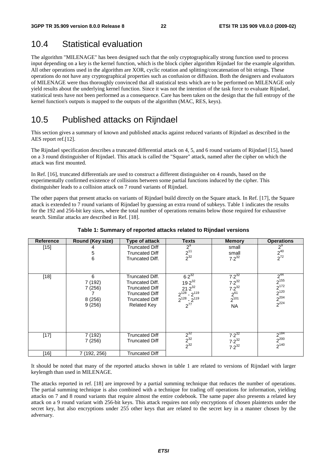## 10.4 Statistical evaluation

The algorithm "MILENAGE" has been designed such that the only cryptographically strong function used to process input depending on a key is the kernel function, which is the block cipher algorithm Rijndael for the example algorithm. All other operations used in the algorithm are XOR, cyclic rotation and splitting/concatenation of bit strings. These operations do not have any cryptographical properties such as confusion or diffusion. Both the designers and evaluators of MILENAGE were thus thoroughly convinced that all statistical tests which are to be performed on MILENAGE only yield results about the underlying kernel function. Since it was not the intention of the task force to evaluate Rijndael, statistical tests have not been performed as a consequence. Care has been taken on the design that the full entropy of the kernel function's outputs is mapped to the outputs of the algorithm (MAC, RES, keys).

### 10.5 Published attacks on Rijndael

This section gives a summary of known and published attacks against reduced variants of Rijndael as described in the AES report ref.[12].

The Rijndael specification describes a truncated differential attack on 4, 5, and 6 round variants of Rijndael [15], based on a 3 round distinguisher of Rijndael. This attack is called the "Square" attack, named after the cipher on which the attack was first mounted.

In Ref. [16], truncated differentials are used to construct a different distinguisher on 4 rounds, based on the experimentally confirmed existence of collisions between some partial functions induced by the cipher. This distinguisher leads to a collision attack on 7 round variants of Rijndael.

The other papers that present attacks on variants of Rijndael build directly on the Square attack. In Ref. [17], the Square attack is extended to 7 round variants of Rijndael by guessing an extra round of subkeys. Table 1 indicates the results for the 192 and 256-bit key sizes, where the total number of operations remains below those required for exhaustive search. Similar attacks are described in Ref. [18].

| <b>Reference</b> | Round (Key size)                           | Type of attack                                                                                                                      | <b>Texts</b>                                                                                       | <b>Memory</b>                                                                | <b>Operations</b>                                                                              |
|------------------|--------------------------------------------|-------------------------------------------------------------------------------------------------------------------------------------|----------------------------------------------------------------------------------------------------|------------------------------------------------------------------------------|------------------------------------------------------------------------------------------------|
| $[15]$           | 5<br>6                                     | <b>Truncated Diff</b><br><b>Truncated Diff</b><br>Truncated Diff.                                                                   | $2^9$<br>$2^{11}_{2^{32}}$                                                                         | small<br>small<br>$7.2^{32}$                                                 | $2^9$<br>$\frac{2^{40}}{2^{72}}$                                                               |
| $[18]$           | 6<br>7 (192)<br>7(256)<br>8(256)<br>9(256) | Truncated Diff.<br>Truncated Diff.<br><b>Truncated Diff</b><br><b>Truncated Diff</b><br><b>Truncated Diff</b><br><b>Related Key</b> | $6.2^{32}$<br>$19.2^{32}$<br>$21.2^{32}$<br>$2^{128} - 2^{119}$<br>$2^{128} - 2^{119}$<br>$2^{77}$ | $7.2^{32}$<br>$7.2^{32}$<br>$7.2^{32}$<br>$2^{61}$<br>$2^{101}$<br><b>NA</b> | $2^{44}$<br>$2^{155}$<br>$\overline{2}^{172}$<br>$\frac{2^{120}}{2^{204}}$<br>2 <sup>204</sup> |
| $[17]$           | 7 (192)<br>7 (256)                         | <b>Truncated Diff</b><br><b>Truncated Diff</b>                                                                                      | $\frac{2^{32}}{2^{32}}$<br>2 <sup>32</sup>                                                         | $7.2^{32}$<br>$7.2^{32}$<br>$7.2^{32}$                                       | $2^{184}$<br>$2^{200}_{2^{140}}$                                                               |
| [16]             | 7 (192, 256)                               | <b>Truncated Diff</b>                                                                                                               |                                                                                                    |                                                                              |                                                                                                |

#### **Table 1: Summary of reported attacks related to Rijndael versions**

It should be noted that many of the reported attacks shown in table 1 are related to versions of Rijndael with larger keylength than used in MILENAGE.

The attacks reported in ref. [18] are improved by a partial summing technique that reduces the number of operations. The partial summing technique is also combined with a technique for trading off operations for information, yielding attacks on 7 and 8 round variants that require almost the entire codebook. The same paper also presents a related key attack on a 9 round variant with 256-bit keys. This attack requires not only encryptions of chosen plaintexts under the secret key, but also encryptions under 255 other keys that are related to the secret key in a manner chosen by the adversary.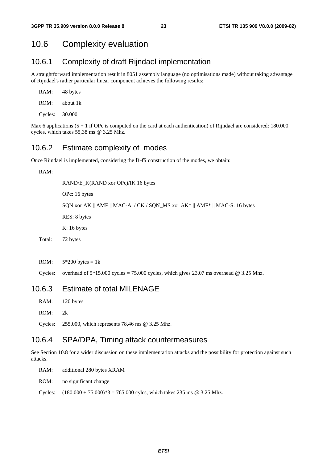### 10.6 Complexity evaluation

#### 10.6.1 Complexity of draft Rijndael implementation

A straightforward implementation result in 8051 assembly language (no optimisations made) without taking advantage of Rijndael's rather particular linear component achieves the following results:

| RAM:    | 48 bytes  |
|---------|-----------|
| ROM:    | about 1 k |
| Cycles: | 30.000    |

Max 6 applications  $(5 + 1)$  if OPc is computed on the card at each authentication) of Rijndael are considered: 180.000 cycles, which takes 55,38 ms @ 3.25 Mhz.

#### 10.6.2 Estimate complexity of modes

Once Rijndael is implemented, considering the **f1**-**f5** construction of the modes, we obtain:

RAM:

 RAND/E\_K(RAND xor OPc)/IK 16 bytes OPc: 16 bytes SQN xor AK || AMF || MAC-A / CK / SQN\_MS xor AK\* || AMF\* || MAC-S: 16 bytes RES: 8 bytes K: 16 bytes Total: 72 bytes

ROM:  $5*200$  bytes = 1k

Cycles: overhead of  $5*15.000$  cycles = 75.000 cycles, which gives 23,07 ms overhead @ 3.25 Mhz.

### 10.6.3 Estimate of total MILENAGE

- RAM: 120 bytes
- ROM: 2k

Cycles: 255.000, which represents 78,46 ms @ 3.25 Mhz.

#### 10.6.4 SPA/DPA, Timing attack countermeasures

See Section 10.8 for a wider discussion on these implementation attacks and the possibility for protection against such attacks.

RAM: additional 280 bytes XRAM

ROM: no significant change

Cycles:  $(180.000 + 75.000)^*$  = 765.000 cyles, which takes 235 ms @ 3.25 Mhz.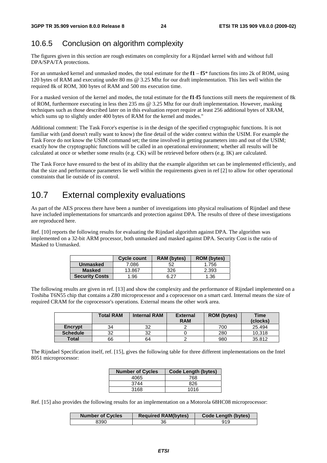### 10.6.5 Conclusion on algorithm complexity

The figures given in this section are rough estimates on complexity for a Rijndael kernel with and without full DPA/SPA/TA protections.

For an unmasked kernel and unmasked modes, the total estimate for the **f1** – **f5**\* functions fits into 2k of ROM, using 120 bytes of RAM and executing under 80 ms @ 3.25 Mhz for our draft implementation. This lies well within the required 8k of ROM, 300 bytes of RAM and 500 ms execution time.

For a masked version of the kernel and modes, the total estimate for the **f1**-**f5** functions still meets the requirement of 8k of ROM, furthermore executing in less then 235 ms @ 3.25 Mhz for our draft implementation. However, masking techniques such as those described later on in this evaluation report require at least 256 additional bytes of XRAM, which sums up to slightly under 400 bytes of RAM for the kernel and modes."

Additional comment: The Task Force's expertise is in the design of the specified cryptographic functions. It is not familiar with (and doesn't really want to know) the fine detail of the wider context within the USIM. For example the Task Force do not know the USIM command set; the time involved in getting parameters into and out of the USIM; exactly how the cryptographic functions will be called in an operational environment; whether all results will be calculated at once or whether some results (e.g. CK) will be retrieved before others (e.g. IK) are calculated.

The Task Force have ensured to the best of its ability that the example algorithm set can be implemented efficiently, and that the size and performance parameters lie well within the requirements given in ref [2] to allow for other operational constraints that lie outside of its control.

## 10.7 External complexity evaluations

As part of the AES process there have been a number of investigations into physical realisations of Rijndael and these have included implementations for smartcards and protection against DPA. The results of three of these investigations are reproduced here.

Ref. [10] reports the following results for evaluating the Rijndael algorithm against DPA. The algorithm was implemented on a 32-bit ARM processor, both unmasked and masked against DPA. Security Cost is the ratio of Masked to Unmasked.

|                       | <b>Cycle count</b> | <b>RAM</b> (bytes) | <b>ROM</b> (bytes) |
|-----------------------|--------------------|--------------------|--------------------|
| Unmasked              | 7.086              | 52                 | 1.756              |
| <b>Masked</b>         | 13.867             | 326                | 2.393              |
| <b>Security Costs</b> | .96                | R 77               | 1.36               |

The following results are given in ref. [13] and show the complexity and the performance of Rijndael implemented on a Toshiba T6N55 chip that contains a Z80 microprocessor and a coprocessor on a smart card. Internal means the size of required CRAM for the coprocessor's operations. External means the other work area.

|                 | <b>Total RAM</b> | <b>Internal RAM</b> | <b>External</b><br><b>RAM</b> | <b>ROM</b> (bytes) | <b>Time</b><br>(clocks) |
|-----------------|------------------|---------------------|-------------------------------|--------------------|-------------------------|
| Encrypt         | 34               | 32                  |                               | 700                | 25.494                  |
| <b>Schedule</b> | 32               | 32                  |                               | 280                | 10.318                  |
| Total           | 66               | 64                  |                               | 980                | 35.812                  |

The Rijndael Specification itself, ref. [15], gives the following table for three different implementations on the Intel 8051 microprocessor:

| <b>Number of Cycles</b> | <b>Code Length (bytes)</b> |
|-------------------------|----------------------------|
| 4065                    | 768                        |
| 3744                    | 826                        |
| 3168                    | 1016                       |

Ref. [15] also provides the following results for an implementation on a Motorola 68HC08 microprocessor:

| <b>Number of Cycles</b> | <b>Required RAM(bytes)</b> | Code Length (bytes) |  |
|-------------------------|----------------------------|---------------------|--|
| 8390                    |                            | 919                 |  |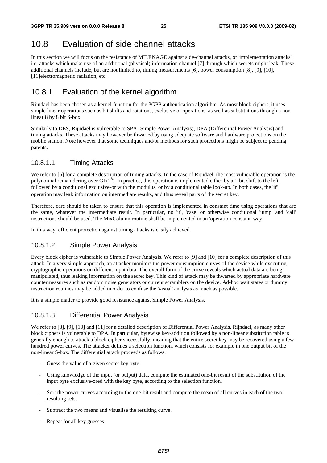### 10.8 Evaluation of side channel attacks

In this section we will focus on the resistance of MILENAGE against side-channel attacks, or 'implementation attacks', i.e. attacks which make use of an additional (physical) information channel [7] through which secrets might leak. These additional channels include, but are not limited to, timing measurements [6], power consumption [8], [9], [10], [11]electromagnetic radiation, etc.

### 10.8.1 Evaluation of the kernel algorithm

Rijndael has been chosen as a kernel function for the 3GPP authentication algorithm. As most block ciphers, it uses simple linear operations such as bit shifts and rotations, exclusive or operations, as well as substitutions through a non linear 8 by 8 bit S-box.

Similarly to DES, Rijndael is vulnerable to SPA (Simple Power Analysis), DPA (Differential Power Analysis) and timing attacks. These attacks may however be thwarted by using adequate software and hardware protections on the mobile station. Note however that some techniques and/or methods for such protections might be subject to pending patents.

#### 10.8.1.1 Timing Attacks

We refer to [6] for a complete description of timing attacks. In the case of Rijndael, the most vulnerable operation is the polynomial remaindering over  $GF(2^{\tilde{s}})$ . In practice, this operation is implemented either by a 1-bit shift to the left, followed by a conditional exclusive-or with the modulus, or by a conditional table look-up. In both cases, the 'if' operation may leak information on intermediate results, and thus reveal parts of the secret key.

Therefore, care should be taken to ensure that this operation is implemented in constant time using operations that are the same, whatever the intermediate result. In particular, no 'if', 'case' or otherwise conditional 'jump' and 'call' instructions should be used. The MixColumn routine shall be implemented in an 'operation constant' way.

In this way, efficient protection against timing attacks is easily achieved.

#### 10.8.1.2 Simple Power Analysis

Every block cipher is vulnerable to Simple Power Analysis. We refer to [9] and [10] for a complete description of this attack. In a very simple approach, an attacker monitors the power consumption curves of the device while executing cryptographic operations on different input data. The overall form of the curve reveals which actual data are being manipulated, thus leaking information on the secret key. This kind of attack may be thwarted by appropriate hardware countermeasures such as random noise generators or current scramblers on the device. Ad-hoc wait states or dummy instruction routines may be added in order to confuse the 'visual' analysis as much as possible.

It is a simple matter to provide good resistance against Simple Power Analysis.

#### 10.8.1.3 Differential Power Analysis

We refer to [8], [9], [10] and [11] for a detailed description of Differential Power Analysis. Rijndael, as many other block ciphers is vulnerable to DPA. In particular, bytewise key-addition followed by a non-linear substitution table is generally enough to attack a block cipher successfully, meaning that the entire secret key may be recovered using a few hundred power curves. The attacker defines a selection function, which consists for example in one output bit of the non-linear S-box. The differential attack proceeds as follows:

- Guess the value of a given secret key byte.
- Using knowledge of the input (or output) data, compute the estimated one-bit result of the substitution of the input byte exclusive-ored with the key byte, according to the selection function.
- Sort the power curves according to the one-bit result and compute the mean of all curves in each of the two resulting sets.
- Subtract the two means and visualise the resulting curve.
- Repeat for all key guesses.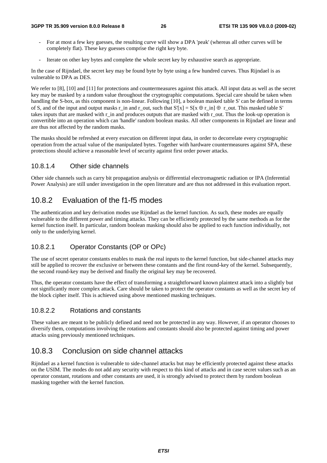- For at most a few key guesses, the resulting curve will show a DPA 'peak' (whereas all other curves will be completely flat). These key guesses comprise the right key byte.
- Iterate on other key bytes and complete the whole secret key by exhaustive search as appropriate.

In the case of Rijndael, the secret key may be found byte by byte using a few hundred curves. Thus Rijndael is as vulnerable to DPA as DES.

We refer to [8], [10] and [11] for protections and countermeasures against this attack. All input data as well as the secret key may be masked by a random value throughout the cryptographic computations. Special care should be taken when handling the S-box, as this component is non-linear. Following [10], a boolean masked table S' can be defined in terms of S, and of the input and output masks r\_in and r\_out, such that  $S'[x] = S[x \oplus r \text{ in}] \oplus r$  out. This masked table S' takes inputs that are masked with r\_in and produces outputs that are masked with r\_out. Thus the look-up operation is convertible into an operation which can 'handle' random boolean masks. All other components in Rijndael are linear and are thus not affected by the random masks.

The masks should be refreshed at every execution on different input data, in order to decorrelate every cryptographic operation from the actual value of the manipulated bytes. Together with hardware countermeasures against SPA, these protections should achieve a reasonable level of security against first order power attacks.

#### 10.8.1.4 Other side channels

Other side channels such as carry bit propagation analysis or differential electromagnetic radiation or IPA (Inferential Power Analysis) are still under investigation in the open literature and are thus not addressed in this evaluation report.

### 10.8.2 Evaluation of the f1-f5 modes

The authentication and key derivation modes use Rijndael as the kernel function. As such, these modes are equally vulnerable to the different power and timing attacks. They can be efficiently protected by the same methods as for the kernel function itself. In particular, random boolean masking should also be applied to each function individually, not only to the underlying kernel.

#### 10.8.2.1 Operator Constants (OP or OPc)

The use of secret operator constants enables to mask the real inputs to the kernel function, but side-channel attacks may still be applied to recover the exclusive or between these constants and the first round-key of the kernel. Subsequently, the second round-key may be derived and finally the original key may be recovered.

Thus, the operator constants have the effect of transforming a straightforward known plaintext attack into a slightly but not significantly more complex attack. Care should be taken to protect the operator constants as well as the secret key of the block cipher itself. This is achieved using above mentioned masking techniques.

#### 10.8.2.2 Rotations and constants

These values are meant to be publicly defined and need not be protected in any way. However, if an operator chooses to diversify them, computations involving the rotations and constants should also be protected against timing and power attacks using previously mentioned techniques.

### 10.8.3 Conclusion on side channel attacks

Rijndael as a kernel function is vulnerable to side-channel attacks but may be efficiently protected against these attacks on the USIM. The modes do not add any security with respect to this kind of attacks and in case secret values such as an operator constant, rotations and other constants are used, it is strongly advised to protect them by random boolean masking together with the kernel function.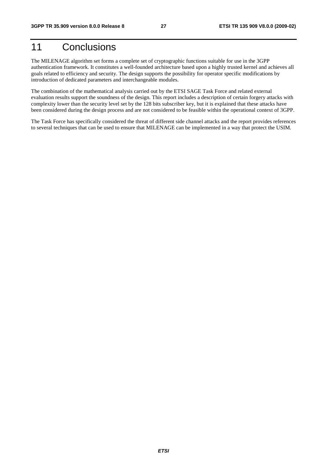## 11 Conclusions

The MILENAGE algorithm set forms a complete set of cryptographic functions suitable for use in the 3GPP authentication framework. It constitutes a well-founded architecture based upon a highly trusted kernel and achieves all goals related to efficiency and security. The design supports the possibility for operator specific modifications by introduction of dedicated parameters and interchangeable modules.

The combination of the mathematical analysis carried out by the ETSI SAGE Task Force and related external evaluation results support the soundness of the design. This report includes a description of certain forgery attacks with complexity lower than the security level set by the 128 bits subscriber key, but it is explained that these attacks have been considered during the design process and are not considered to be feasible within the operational context of 3GPP.

The Task Force has specifically considered the threat of different side channel attacks and the report provides references to several techniques that can be used to ensure that MILENAGE can be implemented in a way that protect the USIM.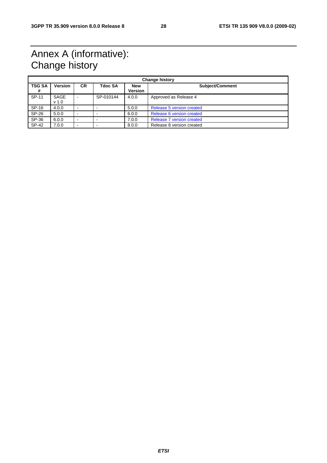## Annex A (informative): Change history

| <b>Change history</b> |                          |                |                |                              |                           |
|-----------------------|--------------------------|----------------|----------------|------------------------------|---------------------------|
| <b>TSG SA</b><br>#    | <b>Version</b>           | <b>CR</b>      | <b>Tdoc SA</b> | <b>New</b><br><b>Version</b> | <b>Subject/Comment</b>    |
| SP-11                 | SAGE<br>v <sub>1.0</sub> | $\blacksquare$ | SP-010144      | 4.0.0                        | Approved as Release 4     |
| SP-16                 | 4.0.0                    | $\sim$         |                | 5.0.0                        | Release 5 version created |
| $SP-26$               | 5.0.0                    | $\blacksquare$ |                | 6.0.0                        | Release 6 version created |
| SP-36                 | 6.0.0                    | $\sim$         |                | 7.0.0                        | Release 7 version created |
| $SP-42$               | 7.0.0                    | -              |                | 8.0.0                        | Release 8 version created |